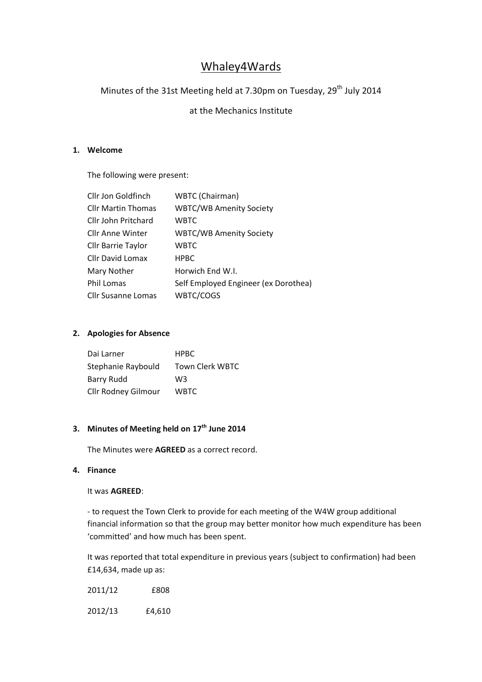# Whaley4Wards

# Minutes of the 31st Meeting held at 7.30pm on Tuesday, 29<sup>th</sup> July 2014

## at the Mechanics Institute

#### **1. Welcome**

The following were present:

| Cllr Jon Goldfinch        | WBTC (Chairman)                      |
|---------------------------|--------------------------------------|
| <b>Cllr Martin Thomas</b> | <b>WBTC/WB Amenity Society</b>       |
| Cllr John Pritchard       | <b>WBTC</b>                          |
| <b>Cllr Anne Winter</b>   | <b>WBTC/WB Amenity Society</b>       |
| <b>Cllr Barrie Taylor</b> | <b>WBTC</b>                          |
| Cllr David Lomax          | <b>HPBC</b>                          |
| Mary Nother               | Horwich End W.I.                     |
| <b>Phil Lomas</b>         | Self Employed Engineer (ex Dorothea) |
| <b>Cllr Susanne Lomas</b> | WBTC/COGS                            |

#### **2. Apologies for Absence**

| Dai Larner          | <b>HPBC</b>     |
|---------------------|-----------------|
| Stephanie Raybould  | Town Clerk WBTC |
| <b>Barry Rudd</b>   | WЗ              |
| Cllr Rodney Gilmour | <b>WBTC</b>     |

# **3. Minutes of Meeting held on 17th June 2014**

The Minutes were **AGREED** as a correct record.

#### **4. Finance**

#### It was **AGREED**:

- to request the Town Clerk to provide for each meeting of the W4W group additional financial information so that the group may better monitor how much expenditure has been 'committed' and how much has been spent.

It was reported that total expenditure in previous years (subject to confirmation) had been £14,634, made up as:

| 2011/12 | £808 |
|---------|------|
|         |      |

2012/13 £4,610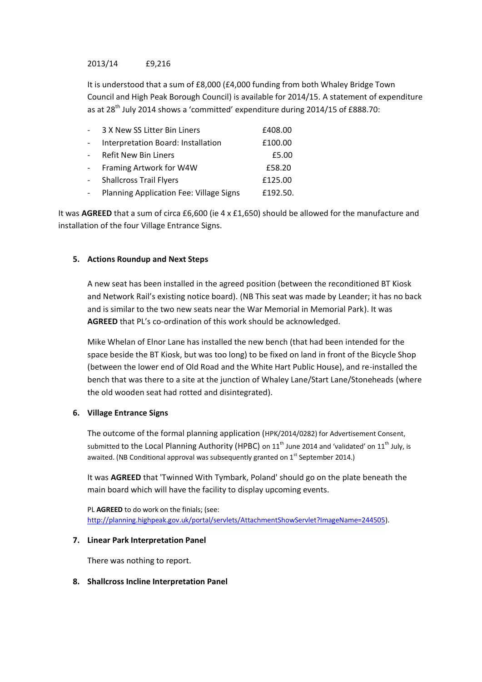#### 2013/14 £9,216

It is understood that a sum of £8,000 (£4,000 funding from both Whaley Bridge Town Council and High Peak Borough Council) is available for 2014/15. A statement of expenditure as at 28th July 2014 shows a 'committed' expenditure during 2014/15 of £888.70:

| $\sim$              | 3 X New SS Litter Bin Liners            | £408.00  |
|---------------------|-----------------------------------------|----------|
| $\sim$              | Interpretation Board: Installation      | £100.00  |
| $\omega_{\rm{eff}}$ | <b>Refit New Bin Liners</b>             | £5.00    |
| $\sim$ $-$          | Framing Artwork for W4W                 | £58.20   |
| $\sim$              | <b>Shallcross Trail Flyers</b>          | £125.00  |
| $\sim$              | Planning Application Fee: Village Signs | £192.50. |

It was **AGREED** that a sum of circa £6,600 (ie 4 x £1,650) should be allowed for the manufacture and installation of the four Village Entrance Signs.

#### **5. Actions Roundup and Next Steps**

A new seat has been installed in the agreed position (between the reconditioned BT Kiosk and Network Rail's existing notice board). (NB This seat was made by Leander; it has no back and is similar to the two new seats near the War Memorial in Memorial Park). It was **AGREED** that PL's co-ordination of this work should be acknowledged.

Mike Whelan of Elnor Lane has installed the new bench (that had been intended for the space beside the BT Kiosk, but was too long) to be fixed on land in front of the Bicycle Shop (between the lower end of Old Road and the White Hart Public House), and re-installed the bench that was there to a site at the junction of Whaley Lane/Start Lane/Stoneheads (where the old wooden seat had rotted and disintegrated).

#### **6. Village Entrance Signs**

The outcome of the formal planning application (HPK/2014/0282) for Advertisement Consent, submitted to the Local Planning Authority (HPBC) on  $11<sup>th</sup>$  June 2014 and 'validated' on  $11<sup>th</sup>$  July, is awaited. (NB Conditional approval was subsequently granted on  $1<sup>st</sup>$  September 2014.)

It was **AGREED** that 'Twinned With Tymbark, Poland' should go on the plate beneath the main board which will have the facility to display upcoming events.

PL **AGREED** to do work on the finials; (see: [http://planning.highpeak.gov.uk/portal/servlets/AttachmentShowServlet?ImageName=244505\)](http://planning.highpeak.gov.uk/portal/servlets/AttachmentShowServlet?ImageName=244505).

#### **7. Linear Park Interpretation Panel**

There was nothing to report.

#### **8. Shallcross Incline Interpretation Panel**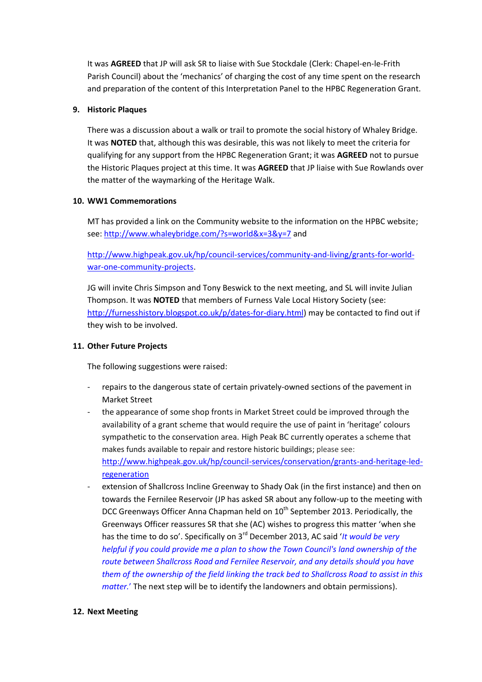It was **AGREED** that JP will ask SR to liaise with Sue Stockdale (Clerk: Chapel-en-le-Frith Parish Council) about the 'mechanics' of charging the cost of any time spent on the research and preparation of the content of this Interpretation Panel to the HPBC Regeneration Grant.

#### **9. Historic Plaques**

There was a discussion about a walk or trail to promote the social history of Whaley Bridge. It was **NOTED** that, although this was desirable, this was not likely to meet the criteria for qualifying for any support from the HPBC Regeneration Grant; it was **AGREED** not to pursue the Historic Plaques project at this time. It was **AGREED** that JP liaise with Sue Rowlands over the matter of the waymarking of the Heritage Walk.

#### **10. WW1 Commemorations**

MT has provided a link on the Community website to the information on the HPBC website; see[: http://www.whaleybridge.com/?s=world&x=3&y=7](http://www.whaleybridge.com/?s=world&x=3&y=7) and

[http://www.highpeak.gov.uk/hp/council-services/community-and-living/grants-for-world](http://www.highpeak.gov.uk/hp/council-services/community-and-living/grants-for-world-war-one-community-projects)[war-one-community-projects.](http://www.highpeak.gov.uk/hp/council-services/community-and-living/grants-for-world-war-one-community-projects)

JG will invite Chris Simpson and Tony Beswick to the next meeting, and SL will invite Julian Thompson. It was **NOTED** that members of Furness Vale Local History Society (see: [http://furnesshistory.blogspot.co.uk/p/dates-for-diary.html\)](http://furnesshistory.blogspot.co.uk/p/dates-for-diary.html) may be contacted to find out if they wish to be involved.

### **11. Other Future Projects**

The following suggestions were raised:

- repairs to the dangerous state of certain privately-owned sections of the pavement in Market Street
- the appearance of some shop fronts in Market Street could be improved through the availability of a grant scheme that would require the use of paint in 'heritage' colours sympathetic to the conservation area. High Peak BC currently operates a scheme that makes funds available to repair and restore historic buildings; please see: [http://www.highpeak.gov.uk/hp/council-services/conservation/grants-and-heritage-led](http://www.highpeak.gov.uk/hp/council-services/conservation/grants-and-heritage-led-regeneration)[regeneration](http://www.highpeak.gov.uk/hp/council-services/conservation/grants-and-heritage-led-regeneration)
- extension of Shallcross Incline Greenway to Shady Oak (in the first instance) and then on towards the Fernilee Reservoir (JP has asked SR about any follow-up to the meeting with DCC Greenways Officer Anna Chapman held on 10<sup>th</sup> September 2013. Periodically, the Greenways Officer reassures SR that she (AC) wishes to progress this matter 'when she has the time to do so'. Specifically on 3rd December 2013, AC said '*It would be very helpful if you could provide me a plan to show the Town Council's land ownership of the route between Shallcross Road and Fernilee Reservoir, and any details should you have them of the ownership of the field linking the track bed to Shallcross Road to assist in this matter.*' The next step will be to identify the landowners and obtain permissions).

#### **12. Next Meeting**